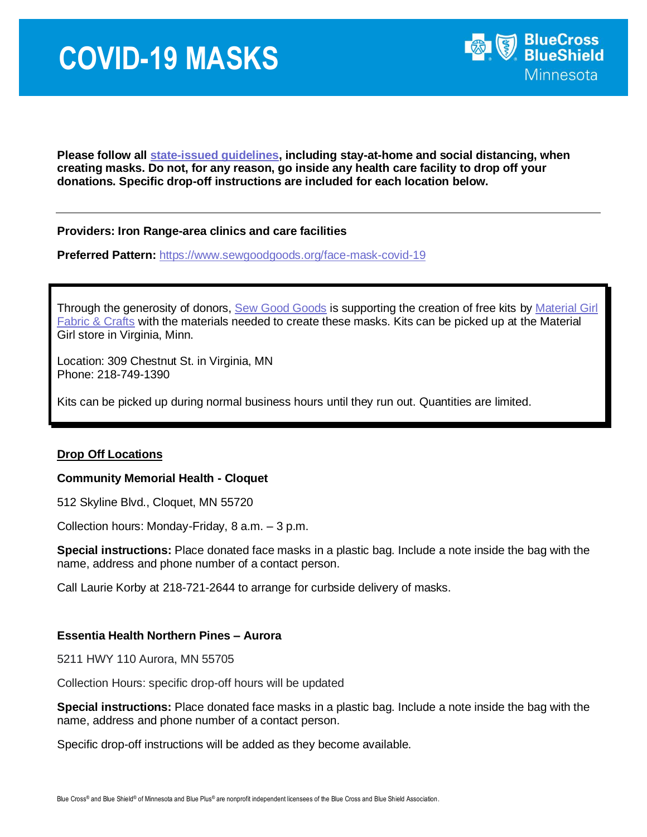

**Please follow all [state-issued guidelines,](https://mn.gov/governor/covid-19/) including stay-at-home and social distancing, when creating masks. Do not, for any reason, go inside any health care facility to drop off your donations. Specific drop-off instructions are included for each location below.** 

## **Providers: Iron Range-area clinics and care facilities**

**Preferred Pattern:** <https://www.sewgoodgoods.org/face-mask-covid-19>

Through the generosity of donors, [Sew Good Goods](http://www.sewgoodgoods.org/) is supporting the creation of free kits by Material Girl [Fabric & Crafts](https://www.materialgirlfabricandcrafts.com/) with the materials needed to create these masks. Kits can be picked up at the Material Girl store in Virginia, Minn.

Location: 309 Chestnut St. in Virginia, MN Phone: 218-749-1390

Kits can be picked up during normal business hours until they run out. Quantities are limited.

### **Drop Off Locations**

#### **Community Memorial Health - Cloquet**

512 Skyline Blvd., Cloquet, MN 55720

Collection hours: Monday-Friday, 8 a.m. – 3 p.m.

**Special instructions:** Place donated face masks in a plastic bag. Include a note inside the bag with the name, address and phone number of a contact person.

Call Laurie Korby at 218-721-2644 to arrange for curbside delivery of masks.

### **Essentia Health Northern Pines – Aurora**

5211 HWY 110 Aurora, MN 55705

Collection Hours: specific drop-off hours will be updated

**Special instructions:** Place donated face masks in a plastic bag. Include a note inside the bag with the name, address and phone number of a contact person.

Specific drop-off instructions will be added as they become available.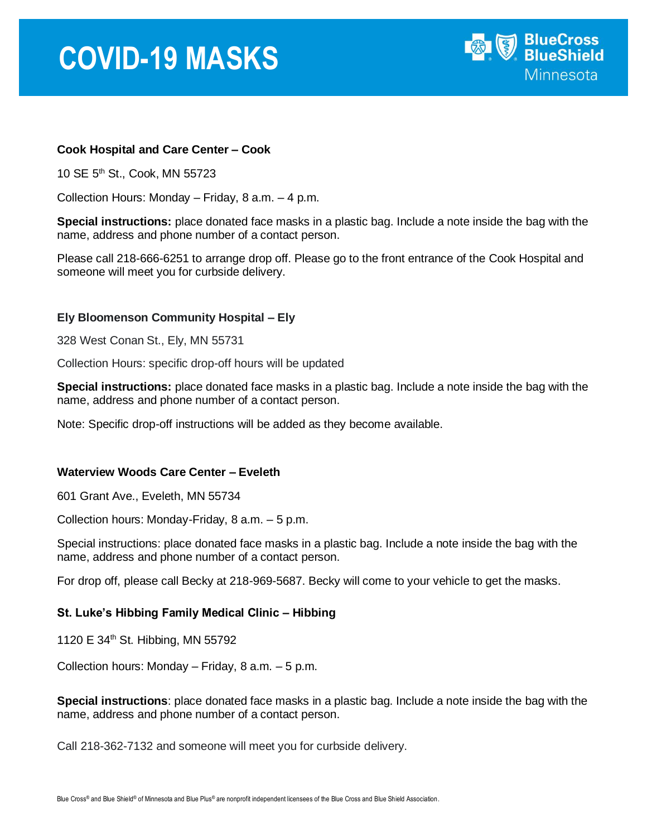## **COVID-19 MASKS**



## **Cook Hospital and Care Center – Cook**

10 SE 5<sup>th</sup> St., Cook, MN 55723

Collection Hours: Monday – Friday, 8 a.m. – 4 p.m.

**Special instructions:** place donated face masks in a plastic bag. Include a note inside the bag with the name, address and phone number of a contact person.

Please call 218-666-6251 to arrange drop off. Please go to the front entrance of the Cook Hospital and someone will meet you for curbside delivery.

## **Ely Bloomenson Community Hospital – Ely**

328 West Conan St., Ely, MN 55731

Collection Hours: specific drop-off hours will be updated

**Special instructions:** place donated face masks in a plastic bag. Include a note inside the bag with the name, address and phone number of a contact person.

Note: Specific drop-off instructions will be added as they become available.

### **Waterview Woods Care Center – Eveleth**

601 Grant Ave., Eveleth, MN 55734

Collection hours: Monday-Friday, 8 a.m. – 5 p.m.

Special instructions: place donated face masks in a plastic bag. Include a note inside the bag with the name, address and phone number of a contact person.

For drop off, please call Becky at 218-969-5687. Becky will come to your vehicle to get the masks.

### **St. Luke's Hibbing Family Medical Clinic – Hibbing**

1120 E 34<sup>th</sup> St. Hibbing, MN 55792

Collection hours: Monday – Friday, 8 a.m. – 5 p.m.

**Special instructions**: place donated face masks in a plastic bag. Include a note inside the bag with the name, address and phone number of a contact person.

Call 218-362-7132 and someone will meet you for curbside delivery.